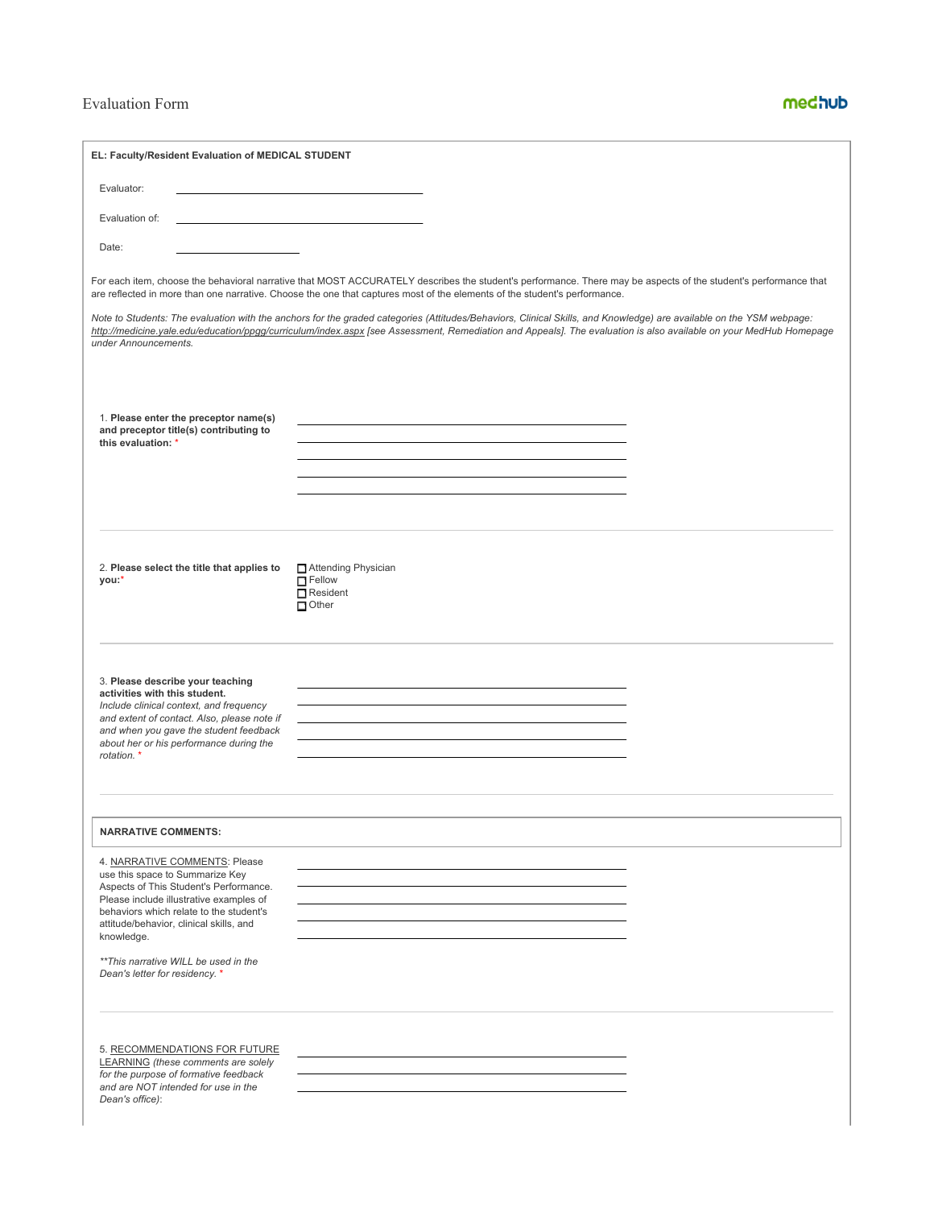## Evaluation Form

## medhub

| EL: Faculty/Resident Evaluation of MEDICAL STUDENT                                                                                                                                                                                                                                                                                   |                                                                                                                                                                                                                                                                                                                                          |
|--------------------------------------------------------------------------------------------------------------------------------------------------------------------------------------------------------------------------------------------------------------------------------------------------------------------------------------|------------------------------------------------------------------------------------------------------------------------------------------------------------------------------------------------------------------------------------------------------------------------------------------------------------------------------------------|
| Evaluator:                                                                                                                                                                                                                                                                                                                           |                                                                                                                                                                                                                                                                                                                                          |
| Evaluation of:                                                                                                                                                                                                                                                                                                                       |                                                                                                                                                                                                                                                                                                                                          |
| Date:                                                                                                                                                                                                                                                                                                                                |                                                                                                                                                                                                                                                                                                                                          |
|                                                                                                                                                                                                                                                                                                                                      | For each item, choose the behavioral narrative that MOST ACCURATELY describes the student's performance. There may be aspects of the student's performance that<br>are reflected in more than one narrative. Choose the one that captures most of the elements of the student's performance.                                             |
| under Announcements.                                                                                                                                                                                                                                                                                                                 | Note to Students: The evaluation with the anchors for the graded categories (Attitudes/Behaviors, Clinical Skills, and Knowledge) are available on the YSM webpage:<br>http://medicine.yale.edu/education/ppgg/curriculum/index.aspx [see Assessment, Remediation and Appeals]. The evaluation is also available on your MedHub Homepage |
| 1. Please enter the preceptor name(s)<br>and preceptor title(s) contributing to<br>this evaluation: *                                                                                                                                                                                                                                |                                                                                                                                                                                                                                                                                                                                          |
| 2. Please select the title that applies to<br>you.*                                                                                                                                                                                                                                                                                  | Attending Physician<br>$\Box$ Fellow<br>Resident<br>$\Box$ Other                                                                                                                                                                                                                                                                         |
| 3. Please describe your teaching<br>activities with this student.<br>Include clinical context, and frequency<br>and extent of contact. Also, please note if<br>and when you gave the student feedback<br>about her or his performance during the<br>rotation. *                                                                      |                                                                                                                                                                                                                                                                                                                                          |
| <b>NARRATIVE COMMENTS:</b>                                                                                                                                                                                                                                                                                                           |                                                                                                                                                                                                                                                                                                                                          |
| 4. NARRATIVE COMMENTS: Please<br>use this space to Summarize Key<br>Aspects of This Student's Performance.<br>Please include illustrative examples of<br>behaviors which relate to the student's<br>attitude/behavior, clinical skills, and<br>knowledge.<br>** This narrative WILL be used in the<br>Dean's letter for residency. * |                                                                                                                                                                                                                                                                                                                                          |
| 5. RECOMMENDATIONS FOR FUTURE<br>LEARNING (these comments are solely<br>for the purpose of formative feedback<br>and are NOT intended for use in the<br>Dean's office):                                                                                                                                                              |                                                                                                                                                                                                                                                                                                                                          |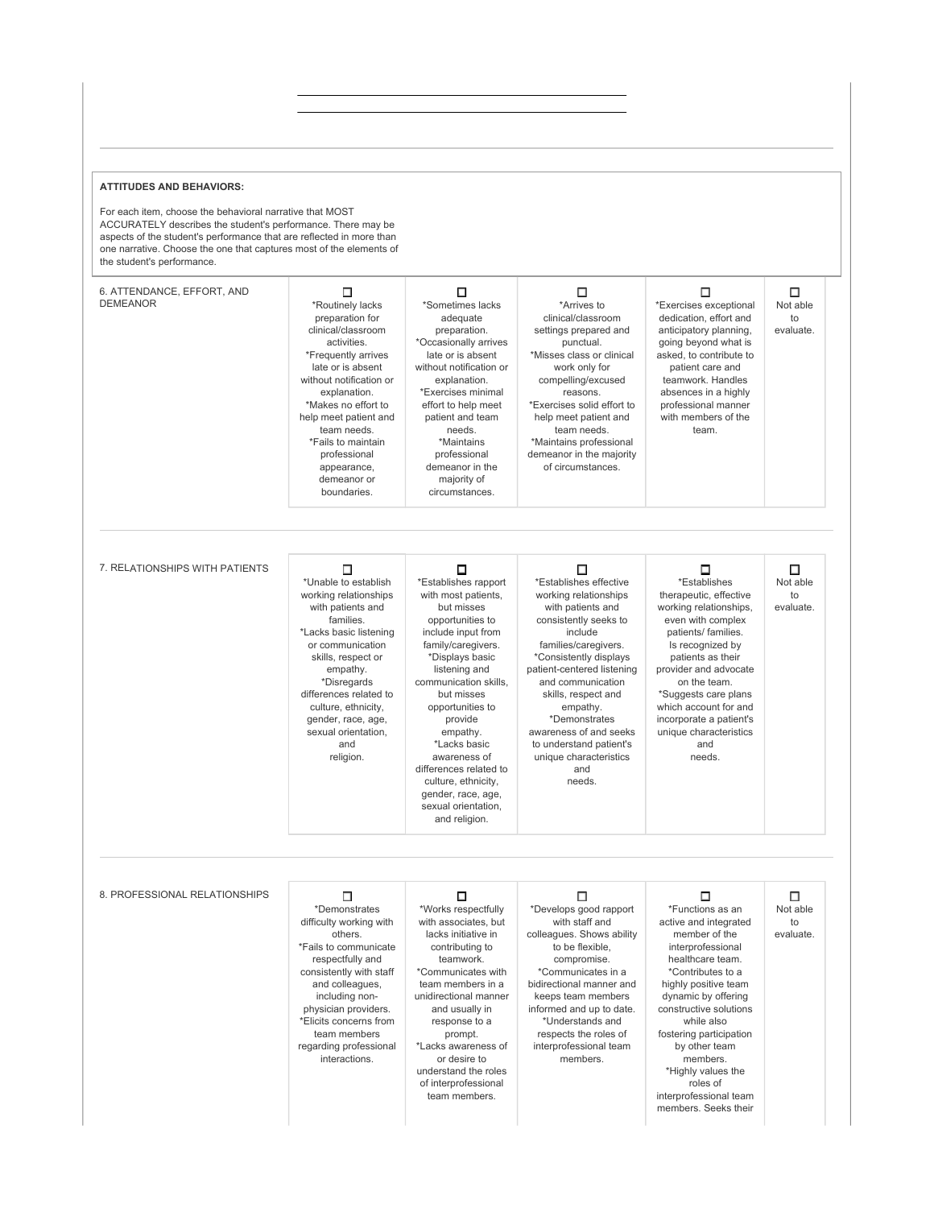## **ATTITUDES AND BEHAVIORS:**

For each item, choose the behavioral narrative that MOST ACCURATELY describes the student's performance. There may be aspects of the student's performance that are reflected in more than one narrative. Choose the one that captures most of the elements of the student's performance.

| 6. ATTENDANCE, EFFORT, AND<br><b>DEMEANOR</b> | □<br>*Routinely lacks<br>preparation for<br>clinical/classroom<br>activities.<br>*Frequently arrives<br>late or is absent<br>without notification or<br>explanation.<br>*Makes no effort to<br>help meet patient and<br>team needs.<br>*Fails to maintain<br>professional<br>appearance,<br>demeanor or<br>boundaries. | $\Box$<br>*Sometimes lacks<br>adequate<br>preparation.<br>*Occasionally arrives<br>late or is absent<br>without notification or<br>explanation.<br>*Exercises minimal<br>effort to help meet<br>patient and team<br>needs.<br>*Maintains<br>professional<br>demeanor in the<br>majority of<br>circumstances.                                                              | □<br>*Arrives to<br>clinical/classroom<br>settings prepared and<br>punctual.<br>*Misses class or clinical<br>work only for<br>compelling/excused<br>reasons.<br>*Exercises solid effort to<br>help meet patient and<br>team needs.<br>*Maintains professional<br>demeanor in the majority<br>of circumstances.                                                         | □<br>*Exercises exceptional<br>dedication, effort and<br>anticipatory planning,<br>going beyond what is<br>asked, to contribute to<br>patient care and<br>teamwork. Handles<br>absences in a highly<br>professional manner<br>with members of the<br>team.                                                                                                       | $\Box$<br>Not able<br>to<br>evaluate. |
|-----------------------------------------------|------------------------------------------------------------------------------------------------------------------------------------------------------------------------------------------------------------------------------------------------------------------------------------------------------------------------|---------------------------------------------------------------------------------------------------------------------------------------------------------------------------------------------------------------------------------------------------------------------------------------------------------------------------------------------------------------------------|------------------------------------------------------------------------------------------------------------------------------------------------------------------------------------------------------------------------------------------------------------------------------------------------------------------------------------------------------------------------|------------------------------------------------------------------------------------------------------------------------------------------------------------------------------------------------------------------------------------------------------------------------------------------------------------------------------------------------------------------|---------------------------------------|
| 7. RELATIONSHIPS WITH PATIENTS                | □<br>*Unable to establish<br>working relationships<br>with patients and<br>families.<br>*Lacks basic listening<br>or communication<br>skills, respect or<br>empathy.<br>*Disregards<br>differences related to<br>culture, ethnicity,<br>gender, race, age,<br>sexual orientation,<br>and<br>religion.                  | □<br>*Establishes rapport<br>with most patients,<br>but misses<br>opportunities to<br>include input from<br>family/caregivers.<br>*Displays basic<br>listening and<br>communication skills,<br>but misses<br>opportunities to<br>provide<br>empathy.<br>*Lacks basic<br>awareness of<br>differences related to<br>culture, ethnicity,<br>gender, race, age,               | □<br>*Establishes effective<br>working relationships<br>with patients and<br>consistently seeks to<br>include<br>families/caregivers.<br>*Consistently displays<br>patient-centered listening<br>and communication<br>skills, respect and<br>empathy.<br>*Demonstrates<br>awareness of and seeks<br>to understand patient's<br>unique characteristics<br>and<br>needs. | □<br>*Establishes<br>therapeutic, effective<br>working relationships,<br>even with complex<br>patients/ families.<br>Is recognized by<br>patients as their<br>provider and advocate<br>on the team.<br>*Suggests care plans<br>which account for and<br>incorporate a patient's<br>unique characteristics<br>and<br>needs.                                       | □<br>Not able<br>to<br>evaluate.      |
| 8. PROFESSIONAL RELATIONSHIPS                 | $\Box$<br>*Demonstrates<br>difficulty working with<br>others.<br>*Fails to communicate<br>respectfully and<br>consistently with staff<br>and colleagues,<br>including non-<br>physician providers.<br>*Elicits concerns from<br>team members<br>regarding professional<br>interactions.                                | sexual orientation,<br>and religion.<br>□<br>*Works respectfully<br>with associates, but<br>lacks initiative in<br>contributing to<br>teamwork.<br>*Communicates with<br>team members in a<br>unidirectional manner<br>and usually in<br>response to a<br>prompt.<br>*Lacks awareness of<br>or desire to<br>understand the roles<br>of interprofessional<br>team members. | П<br>*Develops good rapport<br>with staff and<br>colleagues. Shows ability<br>to be flexible,<br>compromise.<br>*Communicates in a<br>bidirectional manner and<br>keeps team members<br>informed and up to date.<br>*Understands and<br>respects the roles of<br>interprofessional team<br>members.                                                                    | □<br>*Functions as an<br>active and integrated<br>member of the<br>interprofessional<br>healthcare team.<br>*Contributes to a<br>highly positive team<br>dynamic by offering<br>constructive solutions<br>while also<br>fostering participation<br>by other team<br>members.<br>*Highly values the<br>roles of<br>interprofessional team<br>members. Seeks their | □<br>Not able<br>to<br>evaluate.      |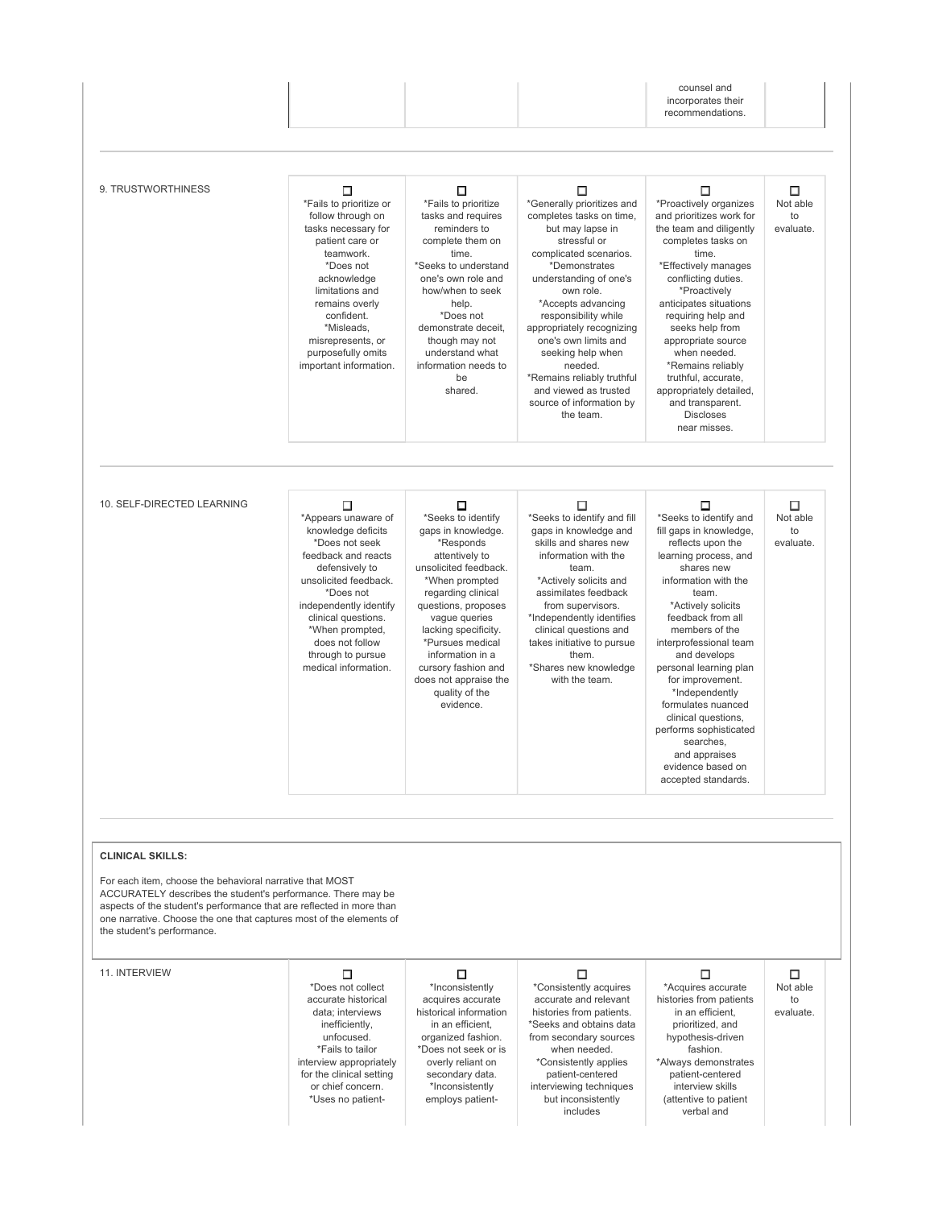|                                                                                                                                                                                                                                                                                                       |                                                                                                                                                                                                                                                                                     |                                                                                                                                                                                                                                                                                                                                      |                                                                                                                                                                                                                                                                                                                                                                                                                      | counsel and<br>incorporates their<br>recommendations.                                                                                                                                                                                                                                                                                                                                                                                                                       |                                  |
|-------------------------------------------------------------------------------------------------------------------------------------------------------------------------------------------------------------------------------------------------------------------------------------------------------|-------------------------------------------------------------------------------------------------------------------------------------------------------------------------------------------------------------------------------------------------------------------------------------|--------------------------------------------------------------------------------------------------------------------------------------------------------------------------------------------------------------------------------------------------------------------------------------------------------------------------------------|----------------------------------------------------------------------------------------------------------------------------------------------------------------------------------------------------------------------------------------------------------------------------------------------------------------------------------------------------------------------------------------------------------------------|-----------------------------------------------------------------------------------------------------------------------------------------------------------------------------------------------------------------------------------------------------------------------------------------------------------------------------------------------------------------------------------------------------------------------------------------------------------------------------|----------------------------------|
|                                                                                                                                                                                                                                                                                                       |                                                                                                                                                                                                                                                                                     |                                                                                                                                                                                                                                                                                                                                      |                                                                                                                                                                                                                                                                                                                                                                                                                      |                                                                                                                                                                                                                                                                                                                                                                                                                                                                             |                                  |
| 9. TRUSTWORTHINESS                                                                                                                                                                                                                                                                                    | □<br>*Fails to prioritize or<br>follow through on<br>tasks necessary for<br>patient care or<br>teamwork.<br>*Does not<br>acknowledge<br>limitations and<br>remains overly<br>confident.<br>*Misleads,<br>misrepresents, or<br>purposefully omits<br>important information.          | □<br>*Fails to prioritize<br>tasks and requires<br>reminders to<br>complete them on<br>time.<br>*Seeks to understand<br>one's own role and<br>how/when to seek<br>help.<br>*Does not<br>demonstrate deceit,<br>though may not<br>understand what<br>information needs to<br>be<br>shared.                                            | □<br>*Generally prioritizes and<br>completes tasks on time,<br>but may lapse in<br>stressful or<br>complicated scenarios.<br>*Demonstrates<br>understanding of one's<br>own role.<br>*Accepts advancing<br>responsibility while<br>appropriately recognizing<br>one's own limits and<br>seeking help when<br>needed.<br>*Remains reliably truthful<br>and viewed as trusted<br>source of information by<br>the team. | □<br>*Proactively organizes<br>and prioritizes work for<br>the team and diligently<br>completes tasks on<br>time.<br>*Effectively manages<br>conflicting duties.<br>*Proactively<br>anticipates situations<br>requiring help and<br>seeks help from<br>appropriate source<br>when needed.<br>*Remains reliably<br>truthful, accurate,<br>appropriately detailed,<br>and transparent.<br><b>Discloses</b><br>near misses.                                                    | □<br>Not able<br>to<br>evaluate. |
| 10. SELF-DIRECTED LEARNING                                                                                                                                                                                                                                                                            | □<br>*Appears unaware of<br>knowledge deficits<br>*Does not seek<br>feedback and reacts<br>defensively to<br>unsolicited feedback.<br>*Does not<br>independently identify<br>clinical questions.<br>*When prompted,<br>does not follow<br>through to pursue<br>medical information. | □<br>*Seeks to identify<br>gaps in knowledge.<br>*Responds<br>attentively to<br>unsolicited feedback.<br>*When prompted<br>regarding clinical<br>questions, proposes<br>vague queries<br>lacking specificity.<br>*Pursues medical<br>information in a<br>cursory fashion and<br>does not appraise the<br>quality of the<br>evidence. | □<br>*Seeks to identify and fill<br>gaps in knowledge and<br>skills and shares new<br>information with the<br>team.<br>*Actively solicits and<br>assimilates feedback<br>from supervisors.<br>*Independently identifies<br>clinical questions and<br>takes initiative to pursue<br>them.<br>*Shares new knowledge<br>with the team.                                                                                  | □<br>*Seeks to identify and<br>fill gaps in knowledge,<br>reflects upon the<br>learning process, and<br>shares new<br>information with the<br>team.<br>*Actively solicits<br>feedback from all<br>members of the<br>interprofessional team<br>and develops<br>personal learning plan<br>for improvement.<br>*Independently<br>formulates nuanced<br>clinical questions,<br>performs sophisticated<br>searches,<br>and appraises<br>evidence based on<br>accepted standards. | □<br>Not able<br>to<br>evaluate. |
|                                                                                                                                                                                                                                                                                                       |                                                                                                                                                                                                                                                                                     |                                                                                                                                                                                                                                                                                                                                      |                                                                                                                                                                                                                                                                                                                                                                                                                      |                                                                                                                                                                                                                                                                                                                                                                                                                                                                             |                                  |
| <b>CLINICAL SKILLS:</b>                                                                                                                                                                                                                                                                               |                                                                                                                                                                                                                                                                                     |                                                                                                                                                                                                                                                                                                                                      |                                                                                                                                                                                                                                                                                                                                                                                                                      |                                                                                                                                                                                                                                                                                                                                                                                                                                                                             |                                  |
| For each item, choose the behavioral narrative that MOST<br>ACCURATELY describes the student's performance. There may be<br>aspects of the student's performance that are reflected in more than<br>one narrative. Choose the one that captures most of the elements of<br>the student's performance. |                                                                                                                                                                                                                                                                                     |                                                                                                                                                                                                                                                                                                                                      |                                                                                                                                                                                                                                                                                                                                                                                                                      |                                                                                                                                                                                                                                                                                                                                                                                                                                                                             |                                  |
| 11. INTERVIEW                                                                                                                                                                                                                                                                                         | □<br>*Does not collect<br>accurate historical<br>data; interviews<br>inefficiently,<br>unfocused.<br>*Fails to tailor<br>interview appropriately<br>for the clinical setting<br>or chief concern.<br>*Uses no patient-                                                              | □<br>*Inconsistently<br>acquires accurate<br>historical information<br>in an efficient,<br>organized fashion.<br>*Does not seek or is<br>overly reliant on<br>secondary data.<br>*Inconsistently<br>employs patient-                                                                                                                 | □<br>*Consistently acquires<br>accurate and relevant<br>histories from patients.<br>*Seeks and obtains data<br>from secondary sources<br>when needed.<br>*Consistently applies<br>patient-centered<br>interviewing techniques<br>but inconsistently<br>includes                                                                                                                                                      | □<br>*Acquires accurate<br>histories from patients<br>in an efficient,<br>prioritized, and<br>hypothesis-driven<br>fashion.<br>*Always demonstrates<br>patient-centered<br>interview skills<br>(attentive to patient<br>verbal and                                                                                                                                                                                                                                          | □<br>Not able<br>to<br>evaluate. |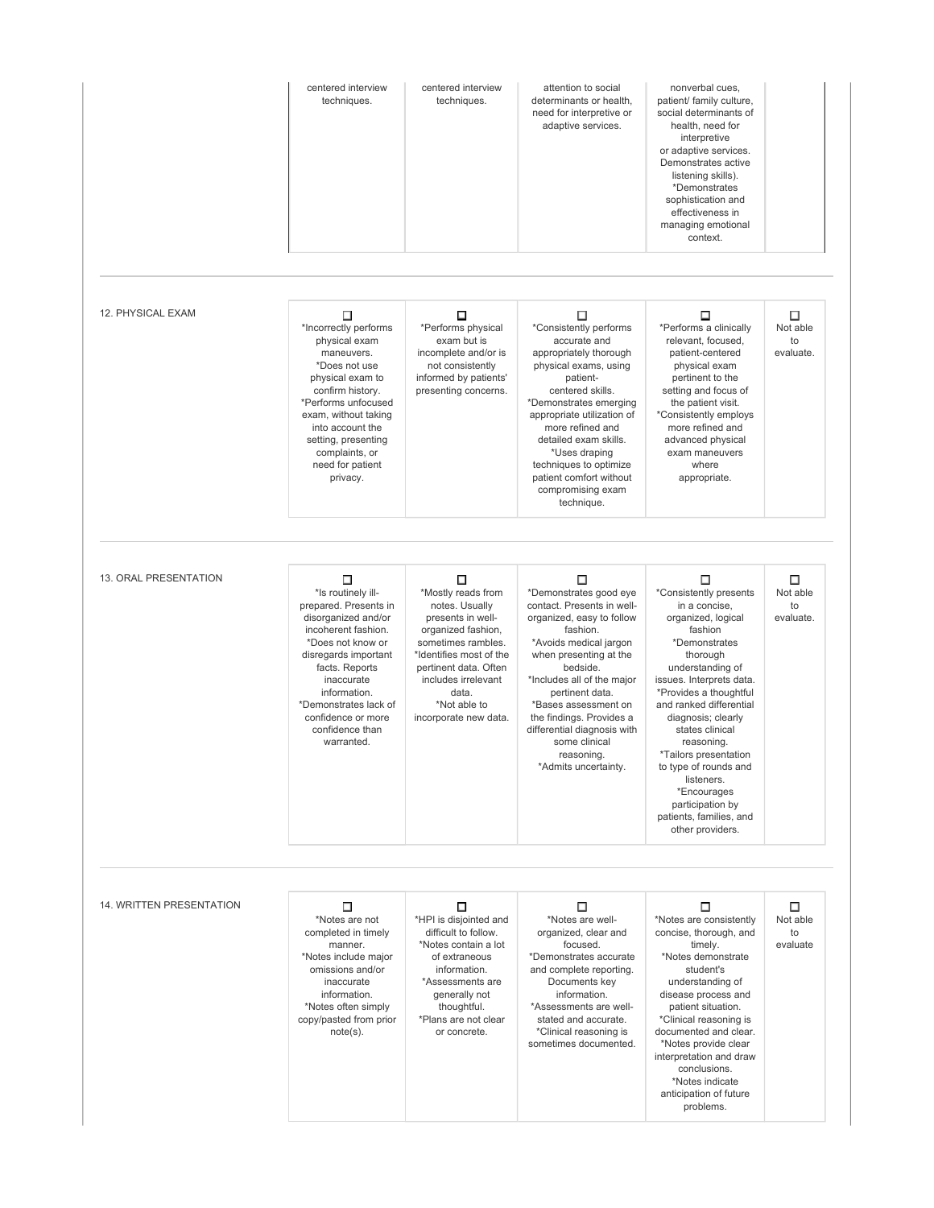|                              | centered interview<br>techniques.                                                                                                                                                                                                                                           | centered interview<br>techniques.                                                                                                                                                                                                       | attention to social<br>determinants or health,<br>need for interpretive or<br>adaptive services.                                                                                                                                                                                                                                                              | nonverbal cues,<br>patient/ family culture,<br>social determinants of<br>health, need for<br>interpretive<br>or adaptive services.<br>Demonstrates active<br>listening skills).<br>*Demonstrates<br>sophistication and<br>effectiveness in<br>managing emotional<br>context.                                                                                                                                               |                                  |
|------------------------------|-----------------------------------------------------------------------------------------------------------------------------------------------------------------------------------------------------------------------------------------------------------------------------|-----------------------------------------------------------------------------------------------------------------------------------------------------------------------------------------------------------------------------------------|---------------------------------------------------------------------------------------------------------------------------------------------------------------------------------------------------------------------------------------------------------------------------------------------------------------------------------------------------------------|----------------------------------------------------------------------------------------------------------------------------------------------------------------------------------------------------------------------------------------------------------------------------------------------------------------------------------------------------------------------------------------------------------------------------|----------------------------------|
| 12. PHYSICAL EXAM            | П<br>*Incorrectly performs<br>physical exam<br>maneuvers.<br>*Does not use<br>physical exam to<br>confirm history.<br>*Performs unfocused<br>exam, without taking<br>into account the<br>setting, presenting<br>complaints, or<br>need for patient<br>privacy.              | □<br>*Performs physical<br>exam but is<br>incomplete and/or is<br>not consistently<br>informed by patients'<br>presenting concerns.                                                                                                     | П<br>*Consistently performs<br>accurate and<br>appropriately thorough<br>physical exams, using<br>patient-<br>centered skills.<br>*Demonstrates emerging<br>appropriate utilization of<br>more refined and<br>detailed exam skills.<br>*Uses draping<br>techniques to optimize<br>patient comfort without<br>compromising exam<br>technique.                  | П<br>*Performs a clinically<br>relevant, focused,<br>patient-centered<br>physical exam<br>pertinent to the<br>setting and focus of<br>the patient visit.<br>*Consistently employs<br>more refined and<br>advanced physical<br>exam maneuvers<br>where<br>appropriate.                                                                                                                                                      | П<br>Not able<br>to<br>evaluate. |
| <b>13. ORAL PRESENTATION</b> | □<br>*Is routinely ill-<br>prepared. Presents in<br>disorganized and/or<br>incoherent fashion.<br>*Does not know or<br>disregards important<br>facts. Reports<br>inaccurate<br>information.<br>*Demonstrates lack of<br>confidence or more<br>confidence than<br>warranted. | □<br>*Mostly reads from<br>notes. Usually<br>presents in well-<br>organized fashion,<br>sometimes rambles.<br>*Identifies most of the<br>pertinent data. Often<br>includes irrelevant<br>data.<br>*Not able to<br>incorporate new data. | □<br>*Demonstrates good eye<br>contact. Presents in well-<br>organized, easy to follow<br>fashion.<br>*Avoids medical jargon<br>when presenting at the<br>bedside.<br>*Includes all of the major<br>pertinent data.<br>*Bases assessment on<br>the findings. Provides a<br>differential diagnosis with<br>some clinical<br>reasoning.<br>*Admits uncertainty. | □<br>*Consistently presents<br>in a concise,<br>organized, logical<br>fashion<br>*Demonstrates<br>thorough<br>understanding of<br>issues. Interprets data.<br>*Provides a thoughtful<br>and ranked differential<br>diagnosis; clearly<br>states clinical<br>reasoning.<br>* I ailors presentation<br>to type of rounds and<br>listeners.<br>*Encourages<br>participation by<br>patients, families, and<br>other providers. | П<br>Not able<br>to<br>evaluate. |
| 14. WRITTEN PRESENTATION     | □<br>*Notes are not<br>completed in timely<br>manner.<br>*Notes include major<br>omissions and/or<br>inaccurate<br>information.<br>*Notes often simply<br>copy/pasted from prior<br>$note(s)$ .                                                                             | □<br>*HPI is disjointed and<br>difficult to follow.<br>*Notes contain a lot<br>of extraneous<br>information.<br>*Assessments are<br>generally not<br>thoughtful.<br>*Plans are not clear<br>or concrete.                                | □<br>*Notes are well-<br>organized, clear and<br>focused.<br>*Demonstrates accurate<br>and complete reporting.<br>Documents key<br>information.<br>*Assessments are well-<br>stated and accurate.<br>*Clinical reasoning is<br>sometimes documented.                                                                                                          | □<br>*Notes are consistently<br>concise, thorough, and<br>timely.<br>*Notes demonstrate<br>student's<br>understanding of<br>disease process and<br>patient situation.<br>*Clinical reasoning is<br>documented and clear.<br>*Notes provide clear<br>interpretation and draw<br>conclusions.<br>*Notes indicate<br>anticipation of future<br>problems.                                                                      | □<br>Not able<br>to<br>evaluate  |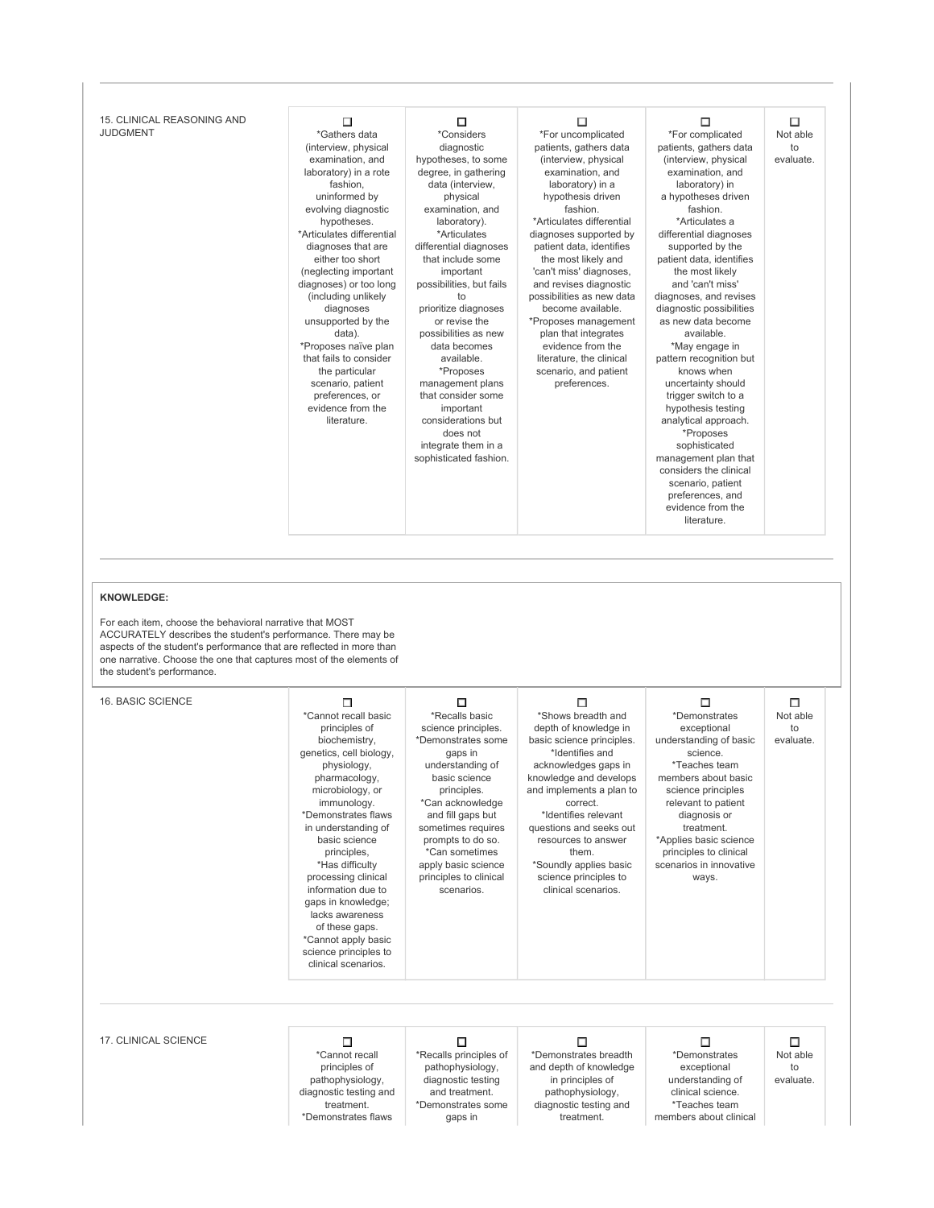| 15. CLINICAL REASONING AND<br><b>JUDGMENT</b>                                                                                                                                                                                                                                                                                                   | □<br>*Gathers data<br>(interview, physical<br>examination, and<br>laboratory) in a rote<br>fashion,<br>uninformed by<br>evolving diagnostic<br>hypotheses.<br>*Articulates differential<br>diagnoses that are<br>either too short<br>(neglecting important<br>diagnoses) or too long<br>(including unlikely<br>diagnoses<br>unsupported by the<br>data).<br>*Proposes naïve plan<br>that fails to consider<br>the particular<br>scenario, patient<br>preferences, or<br>evidence from the<br>literature. | Π<br>*Considers<br>diagnostic<br>hypotheses, to some<br>degree, in gathering<br>data (interview,<br>physical<br>examination, and<br>laboratory).<br>*Articulates<br>differential diagnoses<br>that include some<br>important<br>possibilities, but fails<br>to<br>prioritize diagnoses<br>or revise the<br>possibilities as new<br>data becomes<br>available.<br>*Proposes<br>management plans<br>that consider some<br>important<br>considerations but<br>does not<br>integrate them in a<br>sophisticated fashion. | □<br>*For uncomplicated<br>patients, gathers data<br>(interview, physical<br>examination, and<br>laboratory) in a<br>hypothesis driven<br>fashion.<br>*Articulates differential<br>diagnoses supported by<br>patient data, identifies<br>the most likely and<br>'can't miss' diagnoses,<br>and revises diagnostic<br>possibilities as new data<br>become available.<br>*Proposes management<br>plan that integrates<br>evidence from the<br>literature, the clinical<br>scenario, and patient<br>preferences. | □<br>*For complicated<br>patients, gathers data<br>(interview, physical<br>examination, and<br>laboratory) in<br>a hypotheses driven<br>fashion.<br>*Articulates a<br>differential diagnoses<br>supported by the<br>patient data, identifies<br>the most likely<br>and 'can't miss'<br>diagnoses, and revises<br>diagnostic possibilities<br>as new data become<br>available.<br>*May engage in<br>pattern recognition but<br>knows when<br>uncertainty should<br>trigger switch to a<br>hypothesis testing<br>analytical approach.<br>*Proposes<br>sophisticated<br>management plan that<br>considers the clinical<br>scenario, patient<br>preferences, and<br>evidence from the<br>literature. | □<br>Not able<br>to<br>evaluate. |
|-------------------------------------------------------------------------------------------------------------------------------------------------------------------------------------------------------------------------------------------------------------------------------------------------------------------------------------------------|----------------------------------------------------------------------------------------------------------------------------------------------------------------------------------------------------------------------------------------------------------------------------------------------------------------------------------------------------------------------------------------------------------------------------------------------------------------------------------------------------------|----------------------------------------------------------------------------------------------------------------------------------------------------------------------------------------------------------------------------------------------------------------------------------------------------------------------------------------------------------------------------------------------------------------------------------------------------------------------------------------------------------------------|---------------------------------------------------------------------------------------------------------------------------------------------------------------------------------------------------------------------------------------------------------------------------------------------------------------------------------------------------------------------------------------------------------------------------------------------------------------------------------------------------------------|--------------------------------------------------------------------------------------------------------------------------------------------------------------------------------------------------------------------------------------------------------------------------------------------------------------------------------------------------------------------------------------------------------------------------------------------------------------------------------------------------------------------------------------------------------------------------------------------------------------------------------------------------------------------------------------------------|----------------------------------|
| <b>KNOWLEDGE:</b><br>For each item, choose the behavioral narrative that MOST<br>ACCURATELY describes the student's performance. There may be<br>aspects of the student's performance that are reflected in more than<br>one narrative. Choose the one that captures most of the elements of<br>the student's performance.<br>16. BASIC SCIENCE | □<br>*Cannot recall basic<br>principles of<br>biochemistry,                                                                                                                                                                                                                                                                                                                                                                                                                                              | □<br>*Recalls basic<br>science principles.<br>*Demonstrates some                                                                                                                                                                                                                                                                                                                                                                                                                                                     | □<br>*Shows breadth and<br>depth of knowledge in<br>basic science principles.                                                                                                                                                                                                                                                                                                                                                                                                                                 | □<br>*Demonstrates<br>exceptional<br>understanding of basic                                                                                                                                                                                                                                                                                                                                                                                                                                                                                                                                                                                                                                      | □<br>Not able<br>to<br>evaluate. |
|                                                                                                                                                                                                                                                                                                                                                 | genetics, cell biology,<br>physiology,<br>pharmacology,<br>microbiology, or<br>immunology.<br>*Demonstrates flaws<br>in understanding of<br>basic science<br>principles,<br>*Has difficulty<br>processing clinical<br>information due to<br>gaps in knowledge;<br>lacks awareness<br>of these gaps.<br>*Cannot apply basic<br>science principles to<br>clinical scenarios.                                                                                                                               | gaps in<br>understanding of<br>basic science<br>principles.<br>*Can acknowledge<br>and fill gaps but<br>sometimes requires<br>prompts to do so.<br>*Can sometimes<br>apply basic science<br>principles to clinical<br>scenarios.                                                                                                                                                                                                                                                                                     | *Identifies and<br>acknowledges gaps in<br>knowledge and develops<br>and implements a plan to<br>correct.<br>*Identifies relevant<br>questions and seeks out<br>resources to answer<br>them.<br>*Soundly applies basic<br>science principles to<br>clinical scenarios.                                                                                                                                                                                                                                        | science.<br>*Teaches team<br>members about basic<br>science principles<br>relevant to patient<br>diagnosis or<br>treatment.<br>*Applies basic science<br>principles to clinical<br>scenarios in innovative<br>ways.                                                                                                                                                                                                                                                                                                                                                                                                                                                                              |                                  |
|                                                                                                                                                                                                                                                                                                                                                 |                                                                                                                                                                                                                                                                                                                                                                                                                                                                                                          |                                                                                                                                                                                                                                                                                                                                                                                                                                                                                                                      |                                                                                                                                                                                                                                                                                                                                                                                                                                                                                                               |                                                                                                                                                                                                                                                                                                                                                                                                                                                                                                                                                                                                                                                                                                  |                                  |
| 17. CLINICAL SCIENCE                                                                                                                                                                                                                                                                                                                            | □<br>*Cannot recall<br>principles of<br>pathophysiology,<br>diagnostic testing and<br>treatment.<br>*Demonstrates flaws                                                                                                                                                                                                                                                                                                                                                                                  | □<br>*Recalls principles of<br>pathophysiology,<br>diagnostic testing<br>and treatment.<br>*Demonstrates some<br>gaps in                                                                                                                                                                                                                                                                                                                                                                                             | □<br>*Demonstrates breadth<br>and depth of knowledge<br>in principles of<br>pathophysiology,<br>diagnostic testing and<br>treatment.                                                                                                                                                                                                                                                                                                                                                                          | □<br>*Demonstrates<br>exceptional<br>understanding of<br>clinical science.<br>*Teaches team<br>members about clinical                                                                                                                                                                                                                                                                                                                                                                                                                                                                                                                                                                            | П<br>Not able<br>to<br>evaluate. |